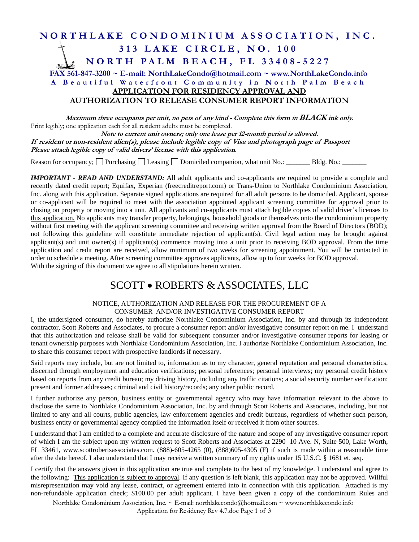### **NORTHLAKE CONDOMINIUM ASSOCIATION, INC. 313 LAKE CIRCLE, NO. 100 NORTH PALM BEACH, FL 33408-5227 FAX 561-847-3200 ~ E-mail: NorthLakeCondo@hotmail.com ~ www.NorthLakeCondo.info A Beautiful Waterfront Community in North Palm Beach APPLICATION FOR RESIDENCY APPROVAL AND**

#### **AUTHORIZATION TO RELEASE CONSUMER REPORT INFORMATION**

**Maximum three occupants per unit, no pets of any kind - Complete this form in BLACK ink only.** Print legibly; one application each for all resident adults must be completed.

**Note to current unit owners; only one lease per 12-month period is allowed. If resident or non-resident alien(s), please include legible copy of Visa and photograph page of Passport Please attach legible copy of valid drivers' license with this application.** 

Reason for occupancy;  $\Box$  Purchasing  $\Box$  Leasing  $\Box$  Domiciled companion, what unit No.:  $\Box$ Bldg. No.:  $\Box$ 

*IMPORTANT - READ AND UNDERSTAND:* All adult applicants and co-applicants are required to provide a complete and recently dated credit report; Equifax, Experian (freecreditreport.com) or Trans-Union to Northlake Condominium Association, Inc. along with this application. Separate signed applications are required for all adult persons to be domiciled. Applicant, spouse or co-applicant will be required to meet with the association appointed applicant screening committee for approval prior to closing on property or moving into a unit. All applicants and co-applicants must attach legible copies of valid driver's licenses to this application. No applicants may transfer property, belongings, household goods or themselves onto the condominium property without first meeting with the applicant screening committee and receiving written approval from the Board of Directors (BOD); not following this guideline will constitute immediate rejection of applicant(s). Civil legal action may be brought against applicant(s) and unit owner(s) if applicant(s) commence moving into a unit prior to receiving BOD approval. From the time application and credit report are received, allow minimum of two weeks for screening appointment. You will be contacted in order to schedule a meeting. After screening committee approves applicants, allow up to four weeks for BOD approval. With the signing of this document we agree to all stipulations herein written.

## SCOTT . ROBERTS & ASSOCIATES, LLC

#### NOTICE, AUTHORIZATION AND RELEASE FOR THE PROCUREMENT OF A CONSUMER AND/OR INVESTIGATIVE CONSUMER REPORT

I, the undersigned consumer, do hereby authorize Northlake Condominium Association, Inc. by and through its independent contractor, Scott Roberts and Associates, to procure a consumer report and/or investigative consumer report on me. I understand that this authorization and release shall be valid for subsequent consumer and/or investigative consumer reports for leasing or tenant ownership purposes with Northlake Condominium Association, Inc. I authorize Northlake Condominium Association, Inc. to share this consumer report with prospective landlords if necessary.

Said reports may include, but are not limited to, information as to my character, general reputation and personal characteristics, discerned through employment and education verifications; personal references; personal interviews; my personal credit history based on reports from any credit bureau; my driving history, including any traffic citations; a social security number verification; present and former addresses; criminal and civil history/records; any other public record.

I further authorize any person, business entity or governmental agency who may have information relevant to the above to disclose the same to Northlake Condominium Association, Inc. by and through Scott Roberts and Associates, including, but not limited to any and all courts, public agencies, law enforcement agencies and credit bureaus, regardless of whether such person, business entity or governmental agency compiled the information itself or received it from other sources.

I understand that I am entitled to a complete and accurate disclosure of the nature and scope of any investigative consumer report of which I am the subject upon my written request to Scott Roberts and Associates at 2290 10 Ave. N, Suite 500, Lake Worth, FL 33461, www.scottrobertsassociates.com. (888)-605-4265 (0), (888)605-4305 (F) if such is made within a reasonable time after the date hereof. I also understand that I may receive a written summary of my rights under 15 U.S.C. § 1681 et. seq.

I certify that the answers given in this application are true and complete to the best of my knowledge. I understand and agree to the following: This application is subject to approval. If any question is left blank, this application may not be approved. Willful misrepresentation may void any lease, contract, or agreement entered into in connection with this application. Attached is my non-refundable application check; \$100.00 per adult applicant. I have been given a copy of the condominium Rules and

Northlake Condominium Association, Inc. ~ E-mail: northlakecondo@hotmail.com ~ www.northlakecondo.info Application for Residency Rev 4.7.doc Page 1 of 3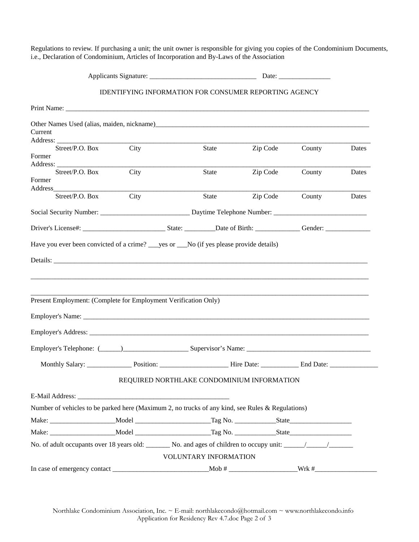Regulations to review. If purchasing a unit; the unit owner is responsible for giving you copies of the Condominium Documents, i.e., Declaration of Condominium, Articles of Incorporation and By-Laws of the Association

|                 |                                                                                                                      | Date: $\frac{1}{\sqrt{1-\frac{1}{2}} \cdot \frac{1}{2}}$ |          |        |       |
|-----------------|----------------------------------------------------------------------------------------------------------------------|----------------------------------------------------------|----------|--------|-------|
|                 | <b>IDENTIFYING INFORMATION FOR CONSUMER REPORTING AGENCY</b>                                                         |                                                          |          |        |       |
|                 |                                                                                                                      |                                                          |          |        |       |
|                 |                                                                                                                      |                                                          |          |        |       |
| Current         |                                                                                                                      |                                                          |          |        |       |
| Street/P.O. Box | City                                                                                                                 | State                                                    | Zip Code | County | Dates |
| Former          |                                                                                                                      |                                                          |          |        |       |
| Street/P.O. Box | City                                                                                                                 | State                                                    | Zip Code | County | Dates |
| Former          |                                                                                                                      |                                                          |          |        |       |
| Street/P.O. Box | City                                                                                                                 | State                                                    | Zip Code | County | Dates |
|                 |                                                                                                                      |                                                          |          |        |       |
|                 |                                                                                                                      |                                                          |          |        |       |
|                 |                                                                                                                      |                                                          |          |        |       |
|                 | Have you ever been convicted of a crime? ___ yes or ___No (if yes please provide details)                            |                                                          |          |        |       |
|                 |                                                                                                                      |                                                          |          |        |       |
|                 |                                                                                                                      |                                                          |          |        |       |
|                 |                                                                                                                      |                                                          |          |        |       |
|                 |                                                                                                                      |                                                          |          |        |       |
|                 | Present Employment: (Complete for Employment Verification Only)                                                      |                                                          |          |        |       |
|                 |                                                                                                                      |                                                          |          |        |       |
|                 |                                                                                                                      |                                                          |          |        |       |
|                 |                                                                                                                      |                                                          |          |        |       |
|                 |                                                                                                                      |                                                          |          |        |       |
|                 | REQUIRED NORTHLAKE CONDOMINIUM INFORMATION                                                                           |                                                          |          |        |       |
|                 |                                                                                                                      |                                                          |          |        |       |
|                 | Number of vehicles to be parked here (Maximum 2, no trucks of any kind, see Rules & Regulations)                     |                                                          |          |        |       |
|                 |                                                                                                                      |                                                          |          |        |       |
|                 |                                                                                                                      |                                                          |          |        |       |
|                 | No. of adult occupants over 18 years old: No. and ages of children to occupy unit: $\frac{1}{\sqrt{1-\frac{1}{n}}}\$ |                                                          |          |        |       |
|                 |                                                                                                                      | VOLUNTARY INFORMATION                                    |          |        |       |
|                 |                                                                                                                      |                                                          |          |        |       |